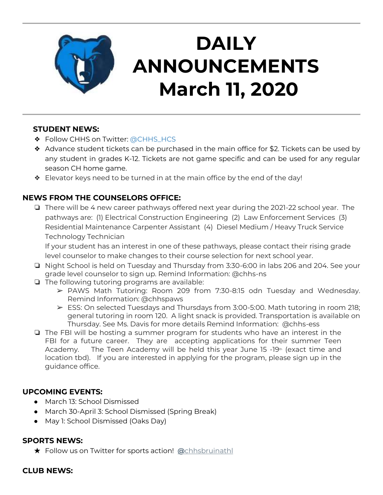

# **DAILY ANNOUNCEMENTS March 11, 2020**

### **STUDENT NEWS:**

- ❖ Follow CHHS on Twitter: [@CHHS\\_HCS](https://twitter.com/CHHS_HCS)
- ❖ Advance student tickets can be purchased in the main office for \$2. Tickets can be used by any student in grades K-12. Tickets are not game specific and can be used for any regular season CH home game.
- ❖ Elevator keys need to be turned in at the main office by the end of the day!

## **NEWS FROM THE COUNSELORS OFFICE:**

❏ There will be 4 new career pathways offered next year during the 2021-22 school year. The pathways are: (1) Electrical Construction Engineering (2) Law Enforcement Services (3) Residential Maintenance Carpenter Assistant (4) Diesel Medium / Heavy Truck Service Technology Technician

If your student has an interest in one of these pathways, please contact their rising grade level counselor to make changes to their course selection for next school year.

- ❏ Night School is held on Tuesday and Thursday from 3:30-6:00 in labs 206 and 204. See your grade level counselor to sign up. Remind Information: @chhs-ns
- ❏ The following tutoring programs are available:
	- ➢ PAWS Math Tutoring: Room 209 from 7:30-8:15 odn Tuesday and Wednesday. Remind Information: @chhspaws
	- $\triangleright$  ESS: On selected Tuesdays and Thursdays from 3:00-5:00. Math tutoring in room 218; general tutoring in room 120. A light snack is provided. Transportation is available on Thursday. See Ms. Davis for more details Remind Information: @chhs-ess
- ❏ The FBI will be hosting a summer program for students who have an interest in the FBI for a future career. They are accepting applications for their summer Teen Academy. The Teen Academy will be held this year June  $15 - 19$ th (exact time and location tbd). If you are interested in applying for the program, please sign up in the guidance office.

## **UPCOMING EVENTS:**

- March 13: School Dismissed
- March 30-April 3: School Dismissed (Spring Break)
- May 1: School Dismissed (Oaks Day)

### **SPORTS NEWS:**

★ Follow us on Twitter for sports action! **[@](https://twitter.com/chhsbruinathl)**[chhsbruinathl](https://twitter.com/chhsbruinathl)

### **CLUB NEWS:**